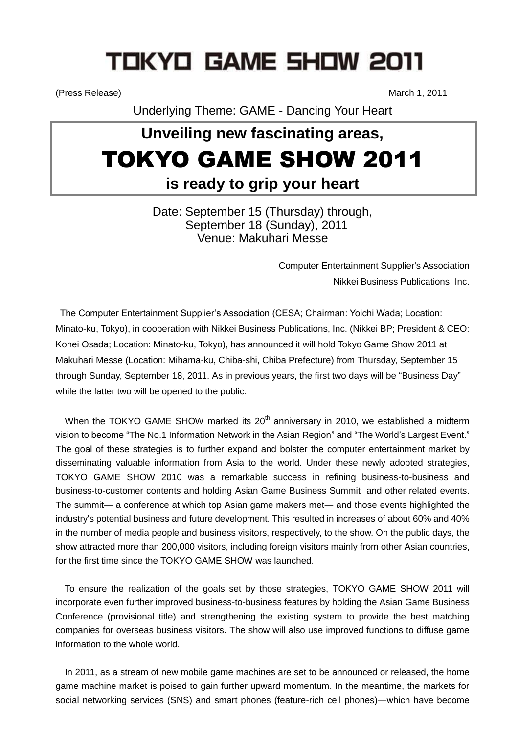# TOKYO GAME SHOW 2011

(Press Release) March 1, 2011

Underlying Theme: GAME - Dancing Your Heart

## **Unveiling new fascinating areas,** TOKYO GAME SHOW 2011 **is ready to grip your heart**

Date: September 15 (Thursday) through, September 18 (Sunday), 2011 Venue: Makuhari Messe

> Computer Entertainment Supplier's Association Nikkei Business Publications, Inc.

The Computer Entertainment Supplier's Association (CESA; Chairman: Yoichi Wada; Location: Minato-ku, Tokyo), in cooperation with Nikkei Business Publications, Inc. (Nikkei BP; President & CEO: Kohei Osada; Location: Minato-ku, Tokyo), has announced it will hold Tokyo Game Show 2011 at Makuhari Messe (Location: Mihama-ku, Chiba-shi, Chiba Prefecture) from Thursday, September 15 through Sunday, September 18, 2011. As in previous years, the first two days will be "Business Day" while the latter two will be opened to the public.

When the TOKYO GAME SHOW marked its  $20<sup>th</sup>$  anniversary in 2010, we established a midterm vision to become "The No.1 Information Network in the Asian Region" and "The World's Largest Event." The goal of these strategies is to further expand and bolster the computer entertainment market by disseminating valuable information from Asia to the world. Under these newly adopted strategies, TOKYO GAME SHOW 2010 was a remarkable success in refining business-to-business and business-to-customer contents and holding Asian Game Business Summit and other related events. The summit― a conference at which top Asian game makers met― and those events highlighted the industry's potential business and future development. This resulted in increases of about 60% and 40% in the number of media people and business visitors, respectively, to the show. On the public days, the show attracted more than 200,000 visitors, including foreign visitors mainly from other Asian countries, for the first time since the TOKYO GAME SHOW was launched.

To ensure the realization of the goals set by those strategies, TOKYO GAME SHOW 2011 will incorporate even further improved business-to-business features by holding the Asian Game Business Conference (provisional title) and strengthening the existing system to provide the best matching companies for overseas business visitors. The show will also use improved functions to diffuse game information to the whole world.

In 2011, as a stream of new mobile game machines are set to be announced or released, the home game machine market is poised to gain further upward momentum. In the meantime, the markets for social networking services (SNS) and smart phones (feature-rich cell phones)―which have become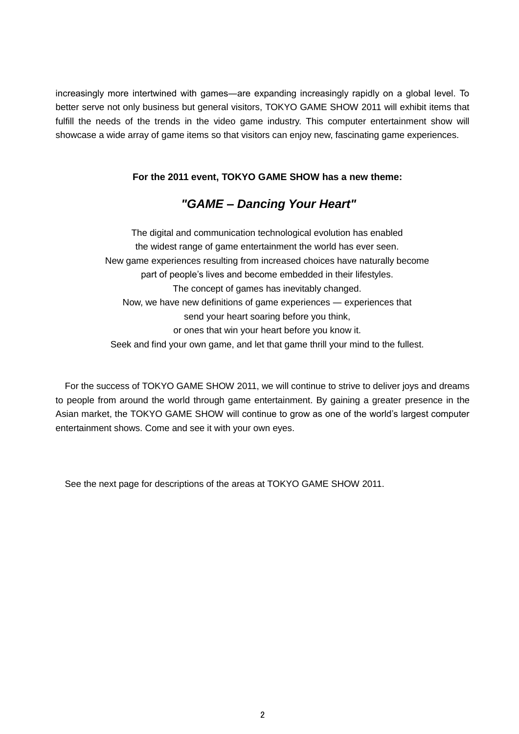increasingly more intertwined with games―are expanding increasingly rapidly on a global level. To better serve not only business but general visitors, TOKYO GAME SHOW 2011 will exhibit items that fulfill the needs of the trends in the video game industry. This computer entertainment show will showcase a wide array of game items so that visitors can enjoy new, fascinating game experiences.

#### **For the 2011 event, TOKYO GAME SHOW has a new theme:**

## *"GAME – Dancing Your Heart"*

The digital and communication technological evolution has enabled the widest range of game entertainment the world has ever seen. New game experiences resulting from increased choices have naturally become part of people's lives and become embedded in their lifestyles. The concept of games has inevitably changed. Now, we have new definitions of game experiences ― experiences that send your heart soaring before you think, or ones that win your heart before you know it. Seek and find your own game, and let that game thrill your mind to the fullest.

For the success of TOKYO GAME SHOW 2011, we will continue to strive to deliver joys and dreams to people from around the world through game entertainment. By gaining a greater presence in the Asian market, the TOKYO GAME SHOW will continue to grow as one of the world's largest computer entertainment shows. Come and see it with your own eyes.

See the next page for descriptions of the areas at TOKYO GAME SHOW 2011.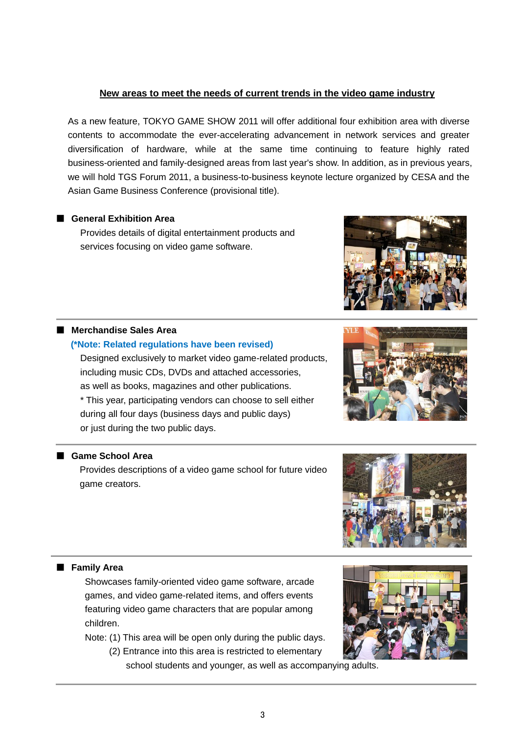#### **New areas to meet the needs of current trends in the video game industry**

As a new feature, TOKYO GAME SHOW 2011 will offer additional four exhibition area with diverse contents to accommodate the ever-accelerating advancement in network services and greater diversification of hardware, while at the same time continuing to feature highly rated business-oriented and family-designed areas from last year's show. In addition, as in previous years, we will hold TGS Forum 2011, a business-to-business keynote lecture organized by CESA and the Asian Game Business Conference (provisional title).

#### ■ **General Exhibition Area**

Provides details of digital entertainment products and services focusing on video game software.

#### ■ Merchandise Sales Area

#### **(\*Note: Related regulations have been revised)**

Designed exclusively to market video game-related products, including music CDs, DVDs and attached accessories, as well as books, magazines and other publications. \* This year, participating vendors can choose to sell either during all four days (business days and public days) or just during the two public days.



Provides descriptions of a video game school for future video game creators.

#### ■ **Family Area**

Showcases family-oriented video game software, arcade games, and video game-related items, and offers events featuring video game characters that are popular among children.

Note: (1) This area will be open only during the public days.

 (2) Entrance into this area is restricted to elementary school students and younger, as well as accompanying adults.

3





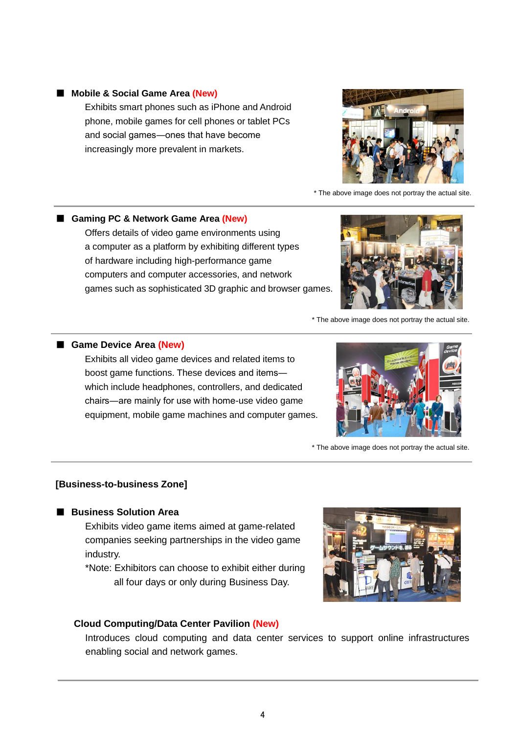#### ■ **Mobile & Social Game Area (New)**

Exhibits smart phones such as iPhone and Android phone, mobile games for cell phones or tablet PCs and social games―ones that have become increasingly more prevalent in markets.

\* The above image does not portray the actual site.

## ■ Gaming PC & Network Game Area (New) Offers details of video game environments using a computer as a platform by exhibiting different types of hardware including high-performance game computers and computer accessories, and network games such as sophisticated 3D graphic and browser games.

\* The above image does not portray the actual site.

#### ■ Game Device Area (New)

Exhibits all video game devices and related items to boost game functions. These devices and items― which include headphones, controllers, and dedicated chairs―are mainly for use with home-use video game equipment, mobile game machines and computer games.

#### **[Business-to-business Zone]**

#### ■ **Business Solution Area**

Exhibits video game items aimed at game-related companies seeking partnerships in the video game industry.

\*Note: Exhibitors can choose to exhibit either during all four days or only during Business Day.

### **Cloud Computing/Data Center Pavilion (New)**

Introduces cloud computing and data center services to support online infrastructures enabling social and network games.





\* The above image does not portray the actual site.

.



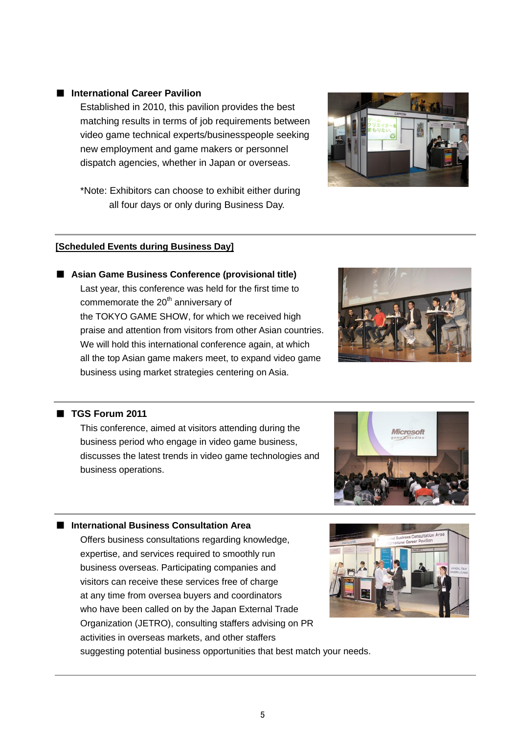#### ■ **International Career Pavilion**

Established in 2010, this pavilion provides the best matching results in terms of job requirements between video game technical experts/businesspeople seeking new employment and game makers or personnel dispatch agencies, whether in Japan or overseas.

\*Note: Exhibitors can choose to exhibit either during all four days or only during Business Day.

#### **[Scheduled Events during Business Day]**

■ Asian Game Business Conference (provisional title) Last year, this conference was held for the first time to commemorate the 20<sup>th</sup> anniversary of the TOKYO GAME SHOW, for which we received high praise and attention from visitors from other Asian countries. We will hold this international conference again, at which all the top Asian game makers meet, to expand video game business using market strategies centering on Asia.

#### ■ **TGS Forum 2011**

This conference, aimed at visitors attending during the business period who engage in video game business, discusses the latest trends in video game technologies and business operations.

#### ■ **International Business Consultation Area**

Offers business consultations regarding knowledge, expertise, and services required to smoothly run business overseas. Participating companies and visitors can receive these services free of charge at any time from oversea buyers and coordinators who have been called on by the Japan External Trade Organization (JETRO), consulting staffers advising on PR activities in overseas markets, and other staffers

suggesting potential business opportunities that best match your needs.







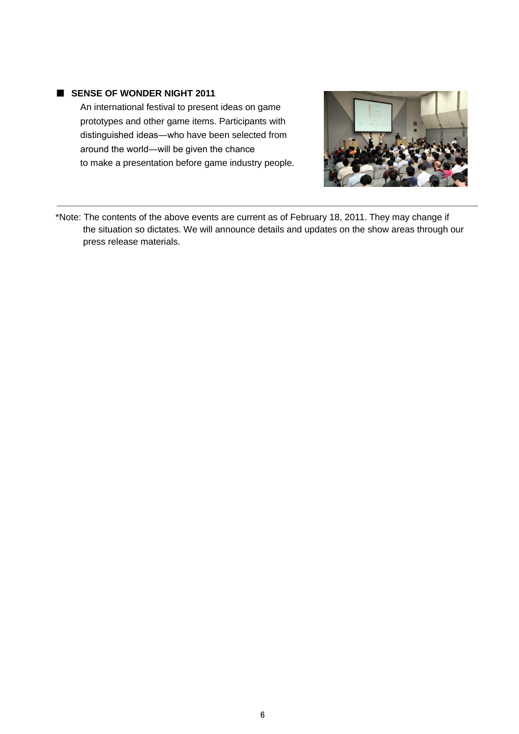#### ■ **SENSE OF WONDER NIGHT 2011**

An international festival to present ideas on game prototypes and other game items. Participants with distinguished ideas―who have been selected from around the world―will be given the chance to make a presentation before game industry people.



\*Note: The contents of the above events are current as of February 18, 2011. They may change if the situation so dictates. We will announce details and updates on the show areas through our press release materials.